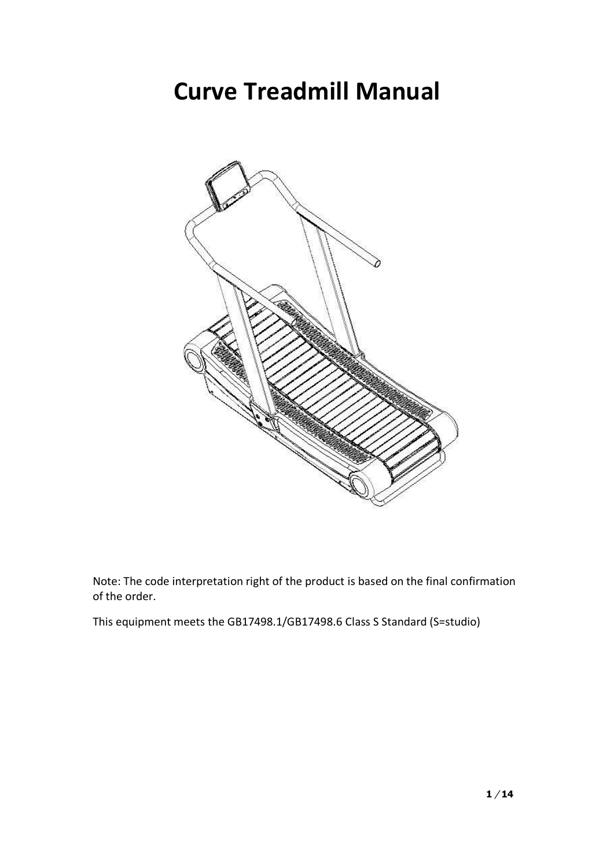## **Curve Treadmill Manual**



Note: The code interpretation right of the product is based on the final confirmation of the order.

This equipment meets the GB17498.1/GB17498.6 Class S Standard (S=studio)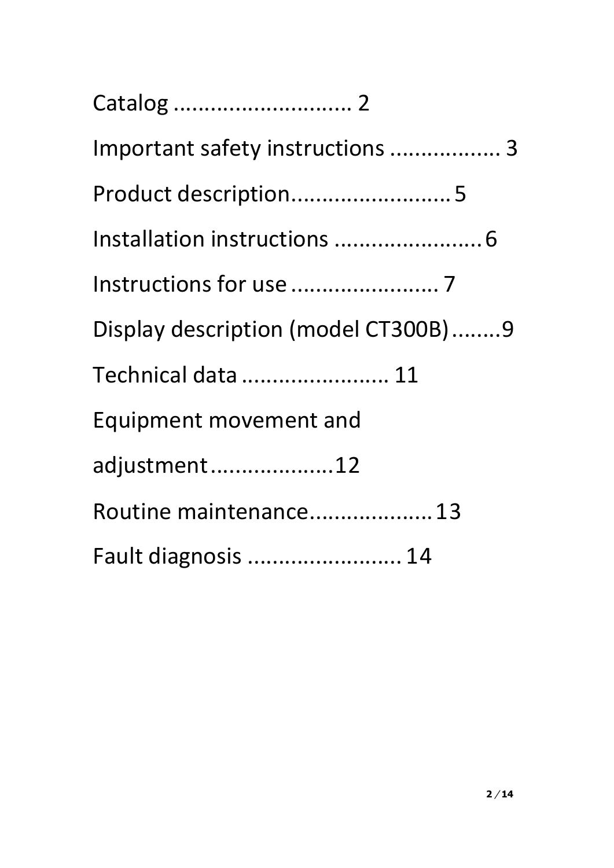| Important safety instructions  3    |
|-------------------------------------|
| Product description 5               |
|                                     |
|                                     |
| Display description (model CT300B)9 |
| Technical data  11                  |
| Equipment movement and              |
| adjustment12                        |
| Routine maintenance 13              |
| Fault diagnosis  14                 |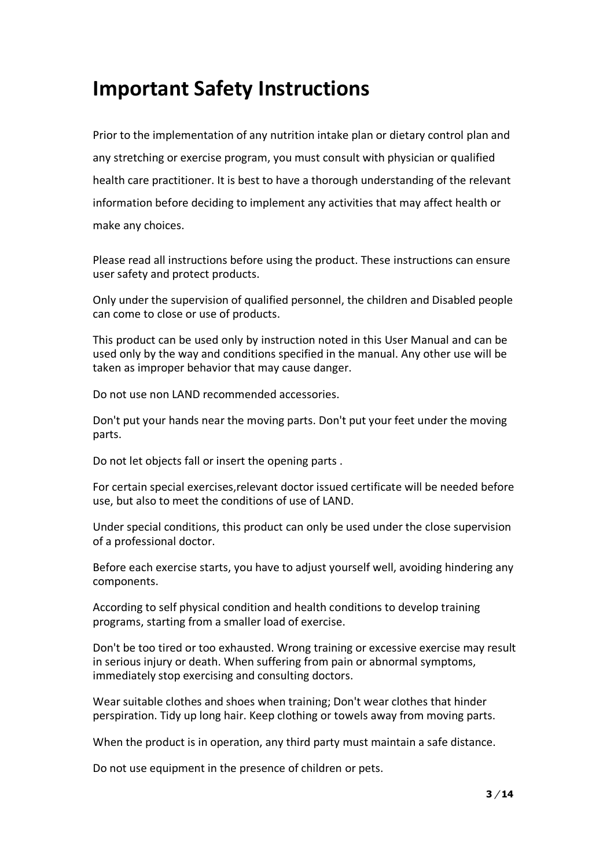#### <span id="page-2-0"></span>**Important Safety Instructions**

Prior to the implementation of any nutrition intake plan or dietary control plan and any stretching or exercise program, you must consult with physician or qualified health care practitioner. It is best to have a thorough understanding of the relevant information before deciding to implement any activities that may affect health or make any choices.

Please read all instructions before using the product. These instructions can ensure user safety and protect products.

Only under the supervision of qualified personnel, the children and Disabled people can come to close or use of products.

This product can be used only by instruction noted in this User Manual and can be used only by the way and conditions specified in the manual. Any other use will be taken as improper behavior that may cause danger.

Do not use non LAND recommended accessories.

Don't put your hands near the moving parts. Don't put your feet under the moving parts.

Do not let objects fall or insert the opening parts .

For certain special exercises,relevant doctor issued certificate will be needed before use, but also to meet the conditions of use of LAND.

Under special conditions, this product can only be used under the close supervision of a professional doctor.

Before each exercise starts, you have to adjust yourself well, avoiding hindering any components.

According to self physical condition and health conditions to develop training programs, starting from a smaller load of exercise.

Don't be too tired or too exhausted. Wrong training or excessive exercise may result in serious injury or death. When suffering from pain or abnormal symptoms, immediately stop exercising and consulting doctors.

Wear suitable clothes and shoes when training; Don't wear clothes that hinder perspiration. Tidy up long hair. Keep clothing or towels away from moving parts.

When the product is in operation, any third party must maintain a safe distance.

Do not use equipment in the presence of children or pets.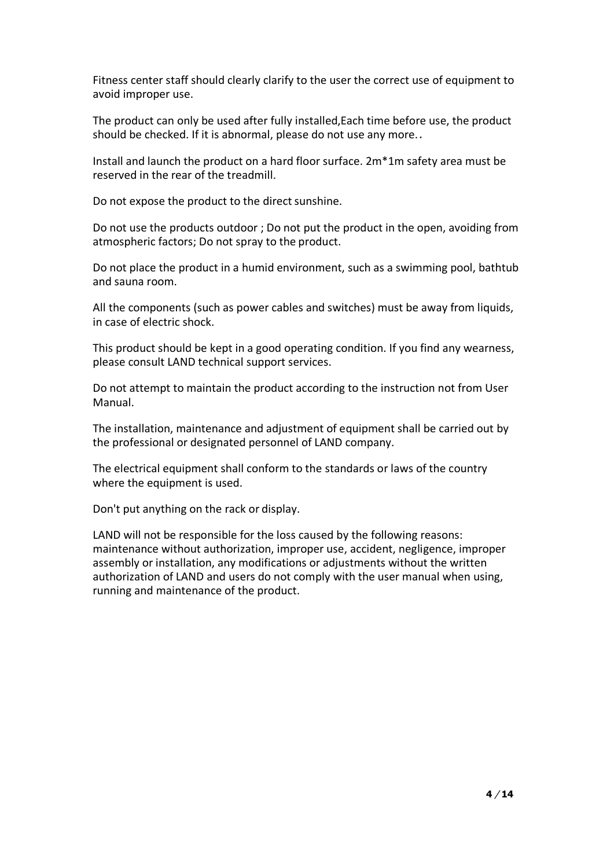Fitness center staff should clearly clarify to the user the correct use of equipment to avoid improper use.

The product can only be used after fully installed,Each time before use, the product should be checked. If it is abnormal, please do not use any more..

Install and launch the product on a hard floor surface. 2m\*1m safety area must be reserved in the rear of the treadmill.

Do not expose the product to the direct sunshine.

Do not use the products outdoor ; Do not put the product in the open, avoiding from atmospheric factors; Do not spray to the product.

Do not place the product in a humid environment, such as a swimming pool, bathtub and sauna room.

All the components (such as power cables and switches) must be away from liquids, in case of electric shock.

This product should be kept in a good operating condition. If you find any wearness, please consult LAND technical support services.

Do not attempt to maintain the product according to the instruction not from User Manual.

The installation, maintenance and adjustment of equipment shall be carried out by the professional or designated personnel of LAND company.

The electrical equipment shall conform to the standards or laws of the country where the equipment is used.

Don't put anything on the rack or display.

LAND will not be responsible for the loss caused by the following reasons: maintenance without authorization, improper use, accident, negligence, improper assembly or installation, any modifications or adjustments without the written authorization of LAND and users do not comply with the user manual when using, running and maintenance of the product.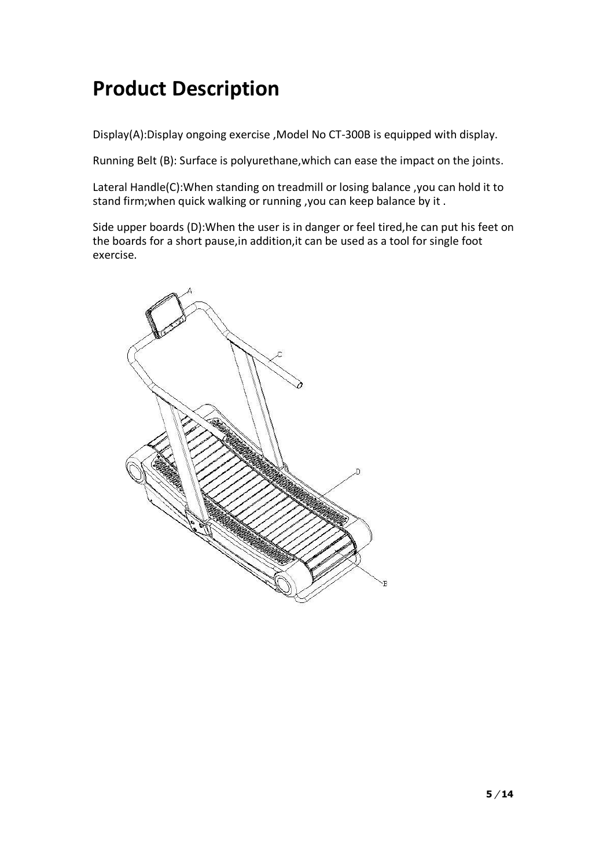## <span id="page-4-0"></span>**Product Description**

Display(A):Display ongoing exercise ,Model No CT-300B is equipped with display.

Running Belt (B): Surface is polyurethane,which can ease the impact on the joints.

Lateral Handle(C):When standing on treadmill or losing balance ,you can hold it to stand firm;when quick walking or running ,you can keep balance by it .

Side upper boards (D):When the user is in danger or feel tired,he can put his feet on the boards for a short pause,in addition,it can be used as a tool for single foot exercise.

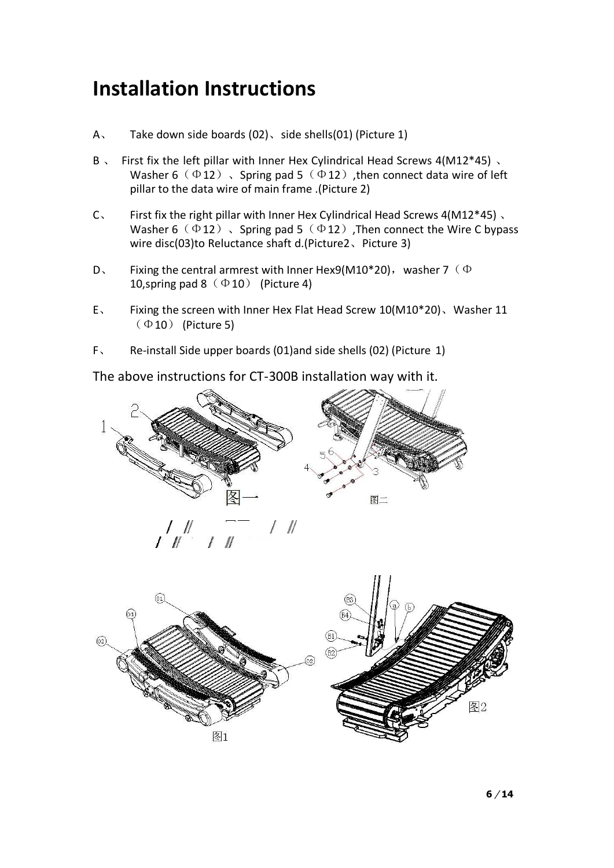### <span id="page-5-0"></span>**Installation Instructions**

- A、 Take down side boards (02)、side shells(01) (Picture 1)
- B 、 First fix the left pillar with Inner Hex Cylindrical Head Screws 4(M12\*45)、 Washer 6 ( $\Phi$ 12), Spring pad 5 ( $\Phi$ 12), then connect data wire of left pillar to the data wire of main frame .(Picture 2)
- C、 First fix the right pillar with Inner Hex Cylindrical Head Screws 4(M12\*45) 、 Washer 6 ( $\Phi$ 12), Spring pad 5 ( $\Phi$ 12), Then connect the Wire C bypass wire disc(03)to Reluctance shaft d.(Picture2、Picture 3)
- D. Fixing the central armrest with Inner Hex9(M10\*20), washer 7 ( $\Phi$ 10, spring pad  $8(\Phi 10)$  (Picture 4)
- E、 Fixing the screen with Inner Hex Flat Head Screw 10(M10\*20)、Washer 11  $(\Phi$ 10) (Picture 5)
- F、 Re-install Side upper boards (01)and side shells (02) (Picture 1)

The above instructions for CT-300B installation way with it.



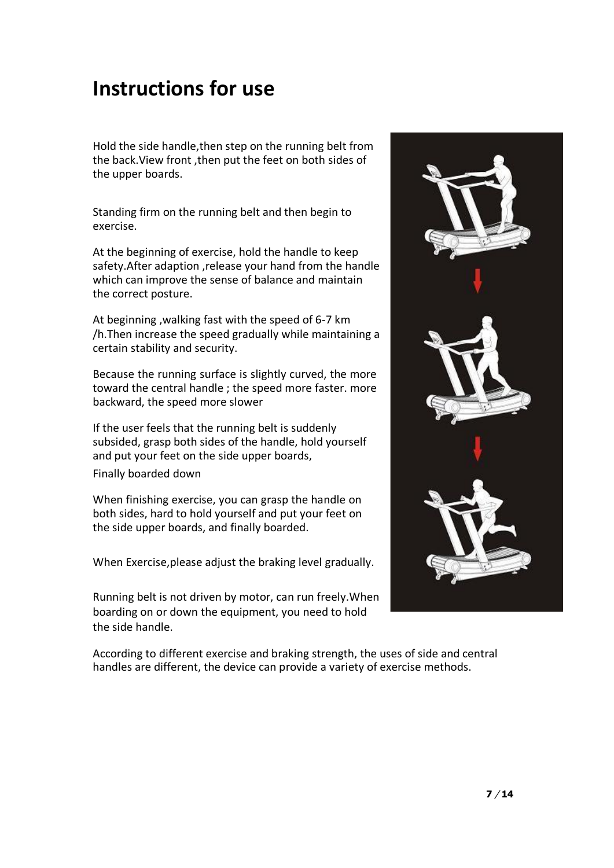#### <span id="page-6-0"></span>**Instructions for use**

Hold the side handle,then step on the running belt from the back.View front ,then put the feet on both sides of the upper boards.

Standing firm on the running belt and then begin to exercise.

At the beginning of exercise, hold the handle to keep safety.After adaption ,release your hand from the handle which can improve the sense of balance and maintain the correct posture.

At beginning ,walking fast with the speed of 6-7 km /h.Then increase the speed gradually while maintaining a certain stability and security.

Because the running surface is slightly curved, the more toward the central handle ; the speed more faster. more backward, the speed more slower

If the user feels that the running belt is suddenly subsided, grasp both sides of the handle, hold yourself and put your feet on the side upper boards,

Finally boarded down

When finishing exercise, you can grasp the handle on both sides, hard to hold yourself and put your feet on the side upper boards, and finally boarded.

When Exercise,please adjust the braking level gradually.

Running belt is not driven by motor, can run freely.When boarding on or down the equipment, you need to hold the side handle.



According to different exercise and braking strength, the uses of side and central handles are different, the device can provide a variety of exercise methods.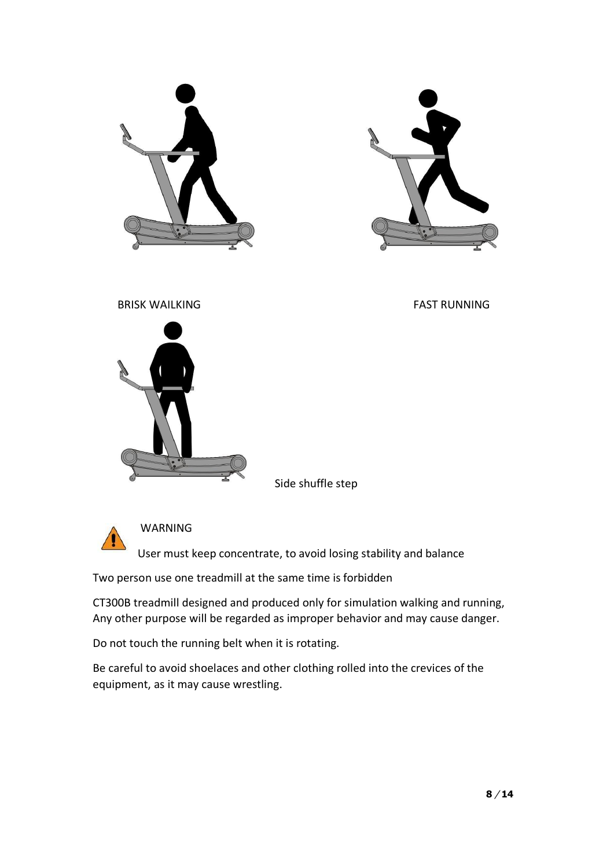





Side shuffle step



WARNING

User must keep concentrate, to avoid losing stability and balance

Two person use one treadmill at the same time is forbidden

CT300B treadmill designed and produced only for simulation walking and running, Any other purpose will be regarded as improper behavior and may cause danger.

Do not touch the running belt when it is rotating.

Be careful to avoid shoelaces and other clothing rolled into the crevices of the equipment, as it may cause wrestling.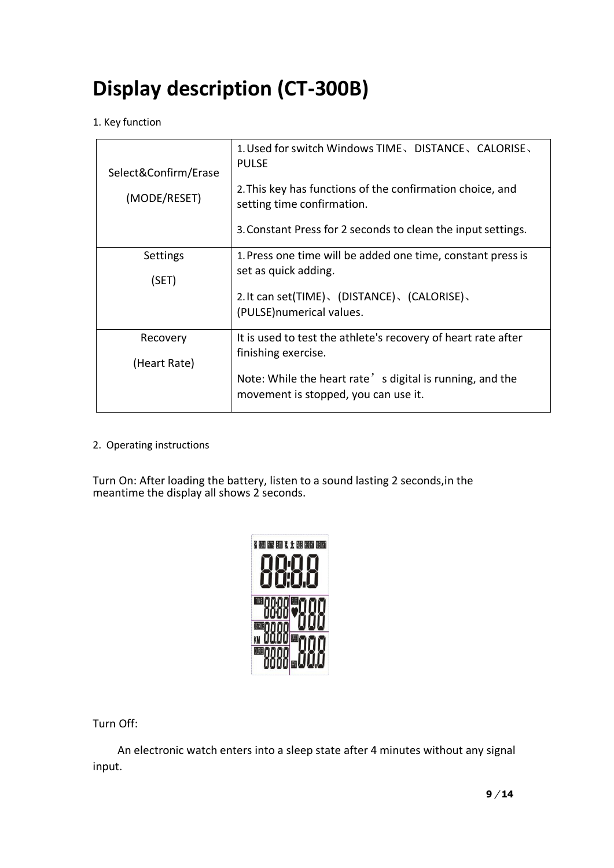## **Display description (CT-300B)**

1. Key function

| Select&Confirm/Erase | 1. Used for switch Windows TIME, DISTANCE, CALORISE,<br><b>PULSE</b>                             |  |
|----------------------|--------------------------------------------------------------------------------------------------|--|
| (MODE/RESET)         | 2. This key has functions of the confirmation choice, and<br>setting time confirmation.          |  |
|                      | 3. Constant Press for 2 seconds to clean the input settings.                                     |  |
| Settings             | 1. Press one time will be added one time, constant press is                                      |  |
| (SET)                | set as quick adding.                                                                             |  |
|                      | 2. It can set(TIME)、(DISTANCE)、(CALORISE)、                                                       |  |
|                      | (PULSE) numerical values.                                                                        |  |
| Recovery             | It is used to test the athlete's recovery of heart rate after                                    |  |
| (Heart Rate)         | finishing exercise.                                                                              |  |
|                      | Note: While the heart rate's digital is running, and the<br>movement is stopped, you can use it. |  |

2. Operating instructions

Turn On: After loading the battery, listen to a sound lasting 2 seconds,in the meantime the display all shows 2 seconds.



Turn Off:

An electronic watch enters into a sleep state after 4 minutes without any signal input.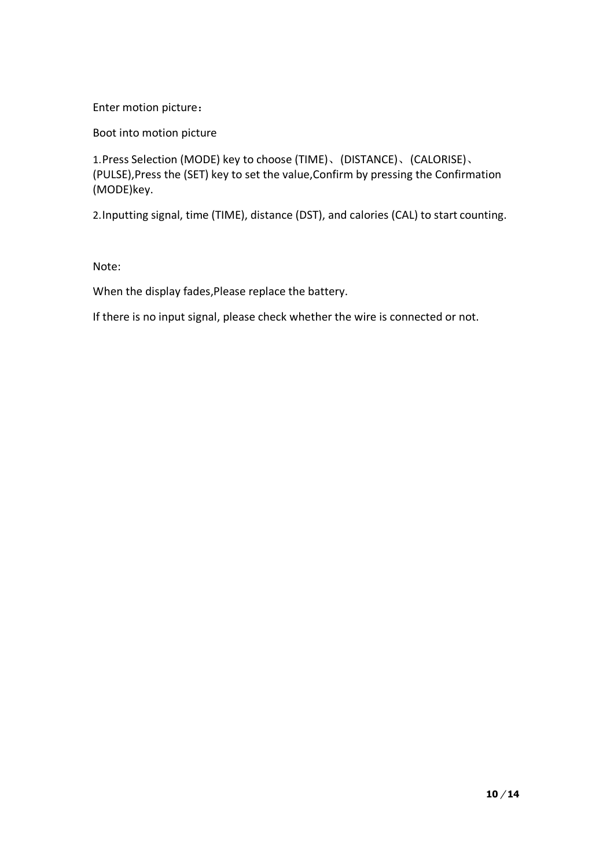Enter motion picture:

Boot into motion picture

1.Press Selection (MODE) key to choose (TIME)、(DISTANCE)、(CALORISE)、 (PULSE),Press the (SET) key to set the value,Confirm by pressing the Confirmation (MODE)key.

2.Inputting signal, time (TIME), distance (DST), and calories (CAL) to start counting.

Note:

When the display fades,Please replace the battery.

If there is no input signal, please check whether the wire is connected or not.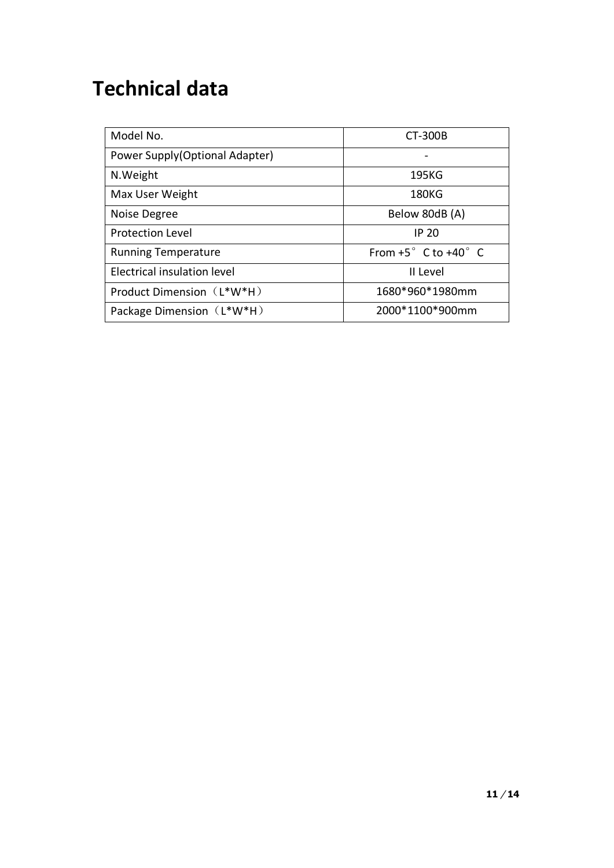## <span id="page-10-0"></span>**Technical data**

| Model No.                      | CT-300B                                |
|--------------------------------|----------------------------------------|
| Power Supply(Optional Adapter) |                                        |
| N.Weight                       | 195KG                                  |
| Max User Weight                | <b>180KG</b>                           |
| Noise Degree                   | Below 80dB (A)                         |
| <b>Protection Level</b>        | IP 20                                  |
| <b>Running Temperature</b>     | From $+5^{\circ}$ C to $+40^{\circ}$ C |
| Electrical insulation level    | II Level                               |
| Product Dimension (L*W*H)      | 1680*960*1980mm                        |
| Package Dimension (L*W*H)      | 2000*1100*900mm                        |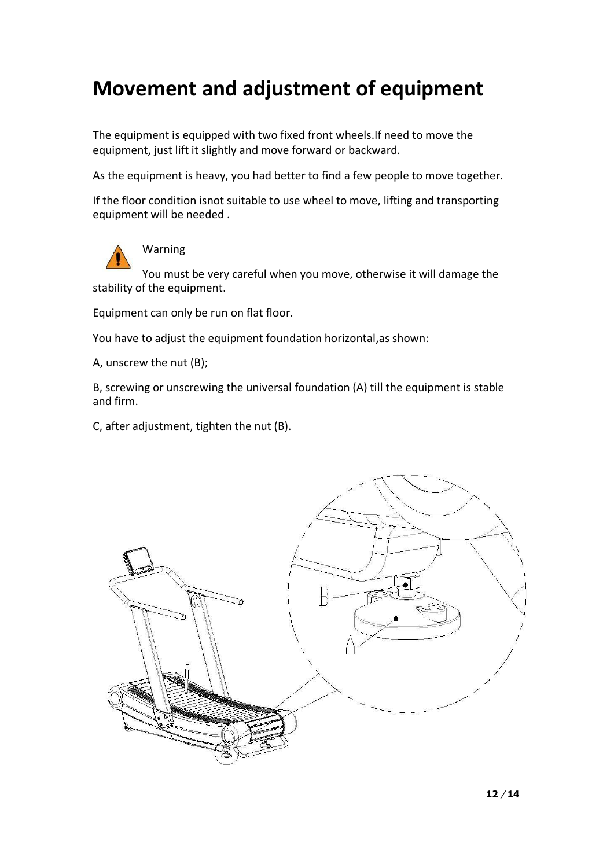## **Movement and adjustment of equipment**

The equipment is equipped with two fixed front wheels.If need to move the equipment, just lift it slightly and move forward or backward.

As the equipment is heavy, you had better to find a few people to move together.

If the floor condition isnot suitable to use wheel to move, lifting and transporting equipment will be needed .



Warning

You must be very careful when you move, otherwise it will damage the stability of the equipment.

Equipment can only be run on flat floor.

You have to adjust the equipment foundation horizontal, as shown:

A, unscrew the nut (B);

B, screwing or unscrewing the universal foundation (A) till the equipment is stable and firm.

C, after adjustment, tighten the nut (B).

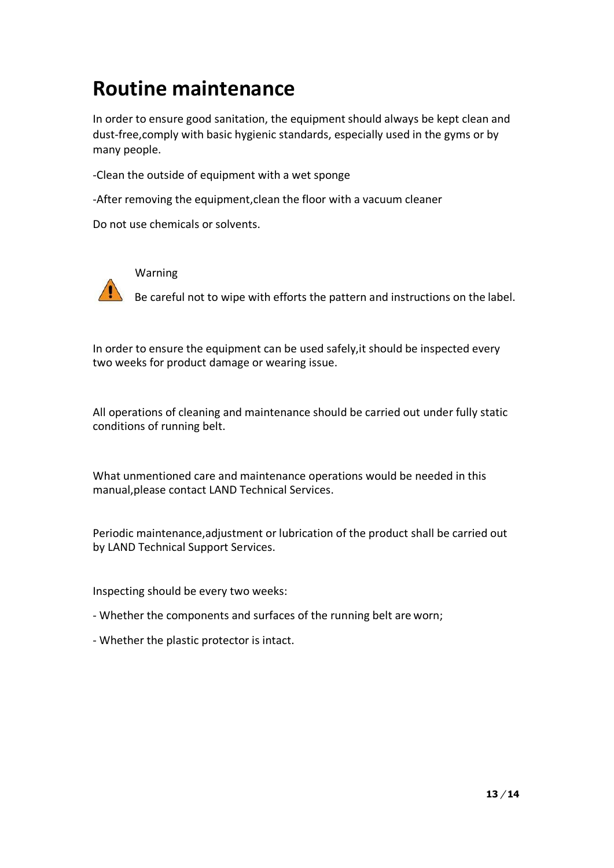### <span id="page-12-0"></span>**Routine maintenance**

In order to ensure good sanitation, the equipment should always be kept clean and dust-free,comply with basic hygienic standards, especially used in the gyms or by many people.

-Clean the outside of equipment with a wet sponge

-After removing the equipment,clean the floor with a vacuum cleaner

Do not use chemicals or solvents.



Warning

 $\blacksquare$  Be careful not to wipe with efforts the pattern and instructions on the label.

In order to ensure the equipment can be used safely,it should be inspected every two weeks for product damage or wearing issue.

All operations of cleaning and maintenance should be carried out under fully static conditions of running belt.

What unmentioned care and maintenance operations would be needed in this manual,please contact LAND Technical Services.

Periodic maintenance,adjustment or lubrication of the product shall be carried out by LAND Technical Support Services.

Inspecting should be every two weeks:

- Whether the components and surfaces of the running belt are worn;
- Whether the plastic protector is intact.